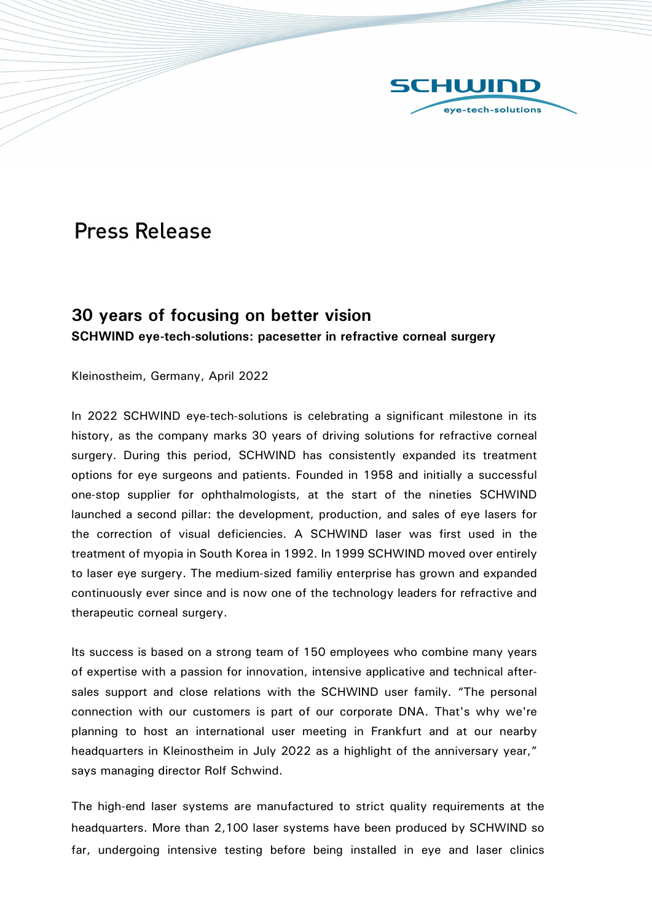

## **Press Release**

## 30 years of focusing on better vision SCHWIND eye-tech-solutions: pacesetter in refractive corneal surgery

Kleinostheim, Germany, April 2022

In 2022 SCHWIND eye-tech-solutions is celebrating a significant milestone in its history, as the company marks 30 years of driving solutions for refractive corneal surgery. During this period, SCHWIND has consistently expanded its treatment options for eye surgeons and patients. Founded in 1958 and initially a successful one-stop supplier for ophthalmologists, at the start of the nineties SCHWIND launched a second pillar: the development, production, and sales of eye lasers for the correction of visual deficiencies. A SCHWIND laser was first used in the treatment of myopia in South Korea in 1992. In 1999 SCHWIND moved over entirely to laser eye surgery. The medium-sized familiy enterprise has grown and expanded continuously ever since and is now one of the technology leaders for refractive and therapeutic corneal surgery.

Its success is based on a strong team of 150 employees who combine many years of expertise with a passion for innovation, intensive applicative and technical aftersales support and close relations with the SCHWIND user family. "The personal connection with our customers is part of our corporate DNA. That's why we're planning to host an international user meeting in Frankfurt and at our nearby headquarters in Kleinostheim in July 2022 as a highlight of the anniversary year," says managing director Rolf Schwind.

The high-end laser systems are manufactured to strict quality requirements at the headquarters. More than 2,100 laser systems have been produced by SCHWIND so far, undergoing intensive testing before being installed in eye and laser clinics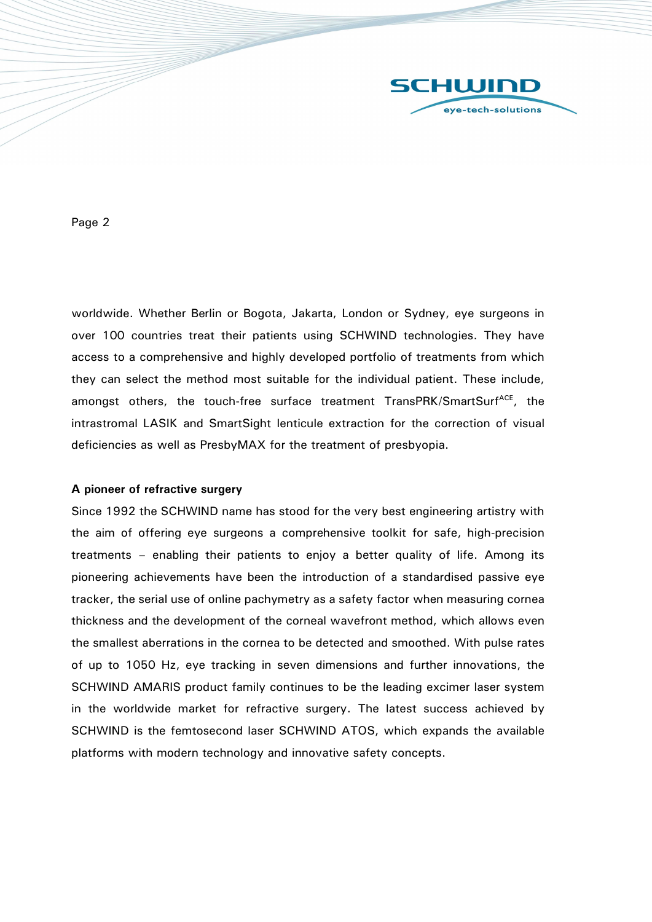

Page 2

worldwide. Whether Berlin or Bogota, Jakarta, London or Sydney, eye surgeons in over 100 countries treat their patients using SCHWIND technologies. They have access to a comprehensive and highly developed portfolio of treatments from which they can select the method most suitable for the individual patient. These include, amongst others, the touch-free surface treatment TransPRK/SmartSurf<sup>ACE</sup>, the intrastromal LASIK and SmartSight lenticule extraction for the correction of visual deficiencies as well as PresbyMAX for the treatment of presbyopia.

## A pioneer of refractive surgery

Since 1992 the SCHWIND name has stood for the very best engineering artistry with the aim of offering eye surgeons a comprehensive toolkit for safe, high-precision treatments – enabling their patients to enjoy a better quality of life. Among its pioneering achievements have been the introduction of a standardised passive eye tracker, the serial use of online pachymetry as a safety factor when measuring cornea thickness and the development of the corneal wavefront method, which allows even the smallest aberrations in the cornea to be detected and smoothed. With pulse rates of up to 1050 Hz, eye tracking in seven dimensions and further innovations, the SCHWIND AMARIS product family continues to be the leading excimer laser system in the worldwide market for refractive surgery. The latest success achieved by SCHWIND is the femtosecond laser SCHWIND ATOS, which expands the available platforms with modern technology and innovative safety concepts.